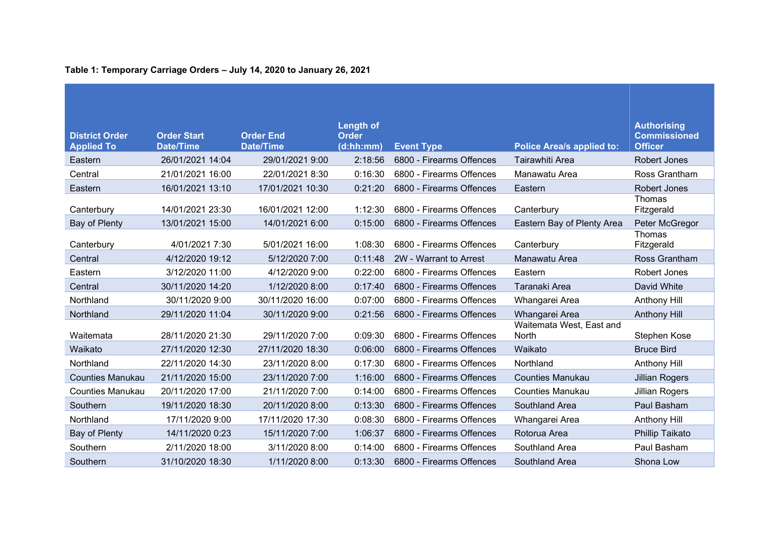| <b>District Order</b><br><b>Applied To</b> | <b>Order Start</b><br><b>Date/Time</b> | <b>Order End</b><br><b>Date/Time</b> | <b>Length of</b><br><b>Order</b><br>(d:hh:mm) | <b>Event Type</b>        | <b>Police Area/s applied to:</b>  | <b>Authorising</b><br><b>Commissioned</b><br><b>Officer</b> |
|--------------------------------------------|----------------------------------------|--------------------------------------|-----------------------------------------------|--------------------------|-----------------------------------|-------------------------------------------------------------|
| Eastern                                    | 26/01/2021 14:04                       | 29/01/2021 9:00                      | 2:18:56                                       | 6800 - Firearms Offences | Tairawhiti Area                   | Robert Jones                                                |
| Central                                    | 21/01/2021 16:00                       | 22/01/2021 8:30                      | 0:16:30                                       | 6800 - Firearms Offences | Manawatu Area                     | Ross Grantham                                               |
| Eastern                                    | 16/01/2021 13:10                       | 17/01/2021 10:30                     | 0:21:20                                       | 6800 - Firearms Offences | Eastern                           | Robert Jones                                                |
| Canterbury                                 | 14/01/2021 23:30                       | 16/01/2021 12:00                     | 1:12:30                                       | 6800 - Firearms Offences | Canterbury                        | Thomas<br>Fitzgerald                                        |
| Bay of Plenty                              | 13/01/2021 15:00                       | 14/01/2021 6:00                      | 0:15:00                                       | 6800 - Firearms Offences | Eastern Bay of Plenty Area        | Peter McGregor                                              |
| Canterbury                                 | 4/01/2021 7:30                         | 5/01/2021 16:00                      | 1:08:30                                       | 6800 - Firearms Offences | Canterbury                        | Thomas<br>Fitzgerald                                        |
| Central                                    | 4/12/2020 19:12                        | 5/12/2020 7:00                       | 0:11:48                                       | 2W - Warrant to Arrest   | Manawatu Area                     | Ross Grantham                                               |
| Eastern                                    | 3/12/2020 11:00                        | 4/12/2020 9:00                       | 0:22:00                                       | 6800 - Firearms Offences | Eastern                           | Robert Jones                                                |
| Central                                    | 30/11/2020 14:20                       | 1/12/2020 8:00                       | 0:17:40                                       | 6800 - Firearms Offences | Taranaki Area                     | David White                                                 |
| Northland                                  | 30/11/2020 9:00                        | 30/11/2020 16:00                     | 0:07:00                                       | 6800 - Firearms Offences | Whangarei Area                    | Anthony Hill                                                |
| Northland                                  | 29/11/2020 11:04                       | 30/11/2020 9:00                      | 0:21:56                                       | 6800 - Firearms Offences | Whangarei Area                    | <b>Anthony Hill</b>                                         |
| Waitemata                                  | 28/11/2020 21:30                       | 29/11/2020 7:00                      | 0:09:30                                       | 6800 - Firearms Offences | Waitemata West, East and<br>North | Stephen Kose                                                |
| Waikato                                    | 27/11/2020 12:30                       | 27/11/2020 18:30                     | 0:06:00                                       | 6800 - Firearms Offences | Waikato                           | <b>Bruce Bird</b>                                           |
| Northland                                  | 22/11/2020 14:30                       | 23/11/2020 8:00                      | 0:17:30                                       | 6800 - Firearms Offences | Northland                         | Anthony Hill                                                |
| <b>Counties Manukau</b>                    | 21/11/2020 15:00                       | 23/11/2020 7:00                      | 1:16:00                                       | 6800 - Firearms Offences | <b>Counties Manukau</b>           | <b>Jillian Rogers</b>                                       |
| <b>Counties Manukau</b>                    | 20/11/2020 17:00                       | 21/11/2020 7:00                      | 0:14:00                                       | 6800 - Firearms Offences | <b>Counties Manukau</b>           | <b>Jillian Rogers</b>                                       |
| Southern                                   | 19/11/2020 18:30                       | 20/11/2020 8:00                      | 0:13:30                                       | 6800 - Firearms Offences | Southland Area                    | Paul Basham                                                 |
| Northland                                  | 17/11/2020 9:00                        | 17/11/2020 17:30                     | 0:08:30                                       | 6800 - Firearms Offences | Whangarei Area                    | Anthony Hill                                                |
| Bay of Plenty                              | 14/11/2020 0:23                        | 15/11/2020 7:00                      | 1:06:37                                       | 6800 - Firearms Offences | Rotorua Area                      | Phillip Taikato                                             |
| Southern                                   | 2/11/2020 18:00                        | 3/11/2020 8:00                       | 0:14:00                                       | 6800 - Firearms Offences | Southland Area                    | Paul Basham                                                 |
| Southern                                   | 31/10/2020 18:30                       | 1/11/2020 8:00                       | 0:13:30                                       | 6800 - Firearms Offences | Southland Area                    | Shona Low                                                   |

**Table 1: Temporary Carriage Orders – July 14, 2020 to January 26, 2021**